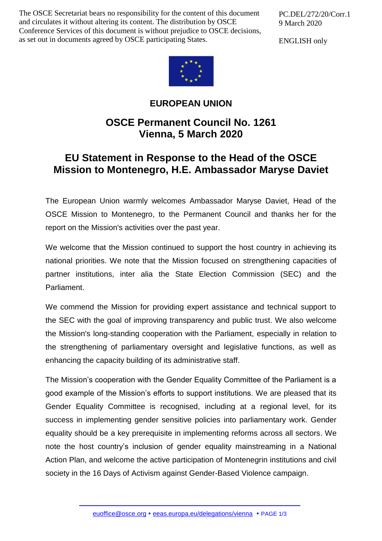The OSCE Secretariat bears no responsibility for the content of this document and circulates it without altering its content. The distribution by OSCE Conference Services of this document is without prejudice to OSCE decisions, as set out in documents agreed by OSCE participating States.

PC.DEL/272/20/Corr.1 9 March 2020

ENGLISH only



## **EUROPEAN UNION**

## **OSCE Permanent Council No. 1261 Vienna, 5 March 2020**

## **EU Statement in Response to the Head of the OSCE Mission to Montenegro, H.E. Ambassador Maryse Daviet**

The European Union warmly welcomes Ambassador Maryse Daviet, Head of the OSCE Mission to Montenegro, to the Permanent Council and thanks her for the report on the Mission's activities over the past year.

We welcome that the Mission continued to support the host country in achieving its national priorities. We note that the Mission focused on strengthening capacities of partner institutions, inter alia the State Election Commission (SEC) and the Parliament.

We commend the Mission for providing expert assistance and technical support to the SEC with the goal of improving transparency and public trust. We also welcome the Mission's long-standing cooperation with the Parliament, especially in relation to the strengthening of parliamentary oversight and legislative functions, as well as enhancing the capacity building of its administrative staff.

The Mission's cooperation with the Gender Equality Committee of the Parliament is a good example of the Mission's efforts to support institutions. We are pleased that its Gender Equality Committee is recognised, including at a regional level, for its success in implementing gender sensitive policies into parliamentary work. Gender equality should be a key prerequisite in implementing reforms across all sectors. We note the host country's inclusion of gender equality mainstreaming in a National Action Plan, and welcome the active participation of Montenegrin institutions and civil society in the 16 Days of Activism against Gender-Based Violence campaign.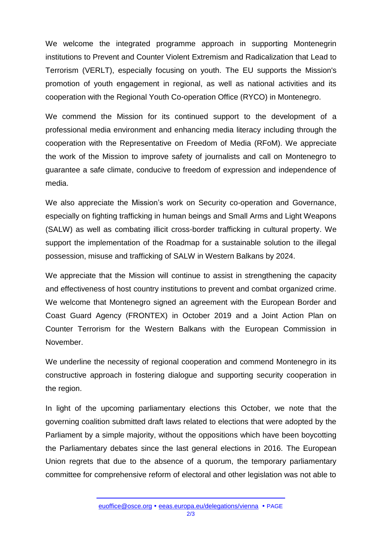We welcome the integrated programme approach in supporting Montenegrin institutions to Prevent and Counter Violent Extremism and Radicalization that Lead to Terrorism (VERLT), especially focusing on youth. The EU supports the Mission's promotion of youth engagement in regional, as well as national activities and its cooperation with the Regional Youth Co-operation Office (RYCO) in Montenegro.

We commend the Mission for its continued support to the development of a professional media environment and enhancing media literacy including through the cooperation with the Representative on Freedom of Media (RFoM). We appreciate the work of the Mission to improve safety of journalists and call on Montenegro to guarantee a safe climate, conducive to freedom of expression and independence of media.

We also appreciate the Mission's work on Security co-operation and Governance, especially on fighting trafficking in human beings and Small Arms and Light Weapons (SALW) as well as combating illicit cross-border trafficking in cultural property. We support the implementation of the Roadmap for a sustainable solution to the illegal possession, misuse and trafficking of SALW in Western Balkans by 2024.

We appreciate that the Mission will continue to assist in strengthening the capacity and effectiveness of host country institutions to prevent and combat organized crime. We welcome that Montenegro signed an agreement with the European Border and Coast Guard Agency (FRONTEX) in October 2019 and a Joint Action Plan on Counter Terrorism for the Western Balkans with the European Commission in November.

We underline the necessity of regional cooperation and commend Montenegro in its constructive approach in fostering dialogue and supporting security cooperation in the region.

In light of the upcoming parliamentary elections this October, we note that the governing coalition submitted draft laws related to elections that were adopted by the Parliament by a simple majority, without the oppositions which have been boycotting the Parliamentary debates since the last general elections in 2016. The European Union regrets that due to the absence of a quorum, the temporary parliamentary committee for comprehensive reform of electoral and other legislation was not able to